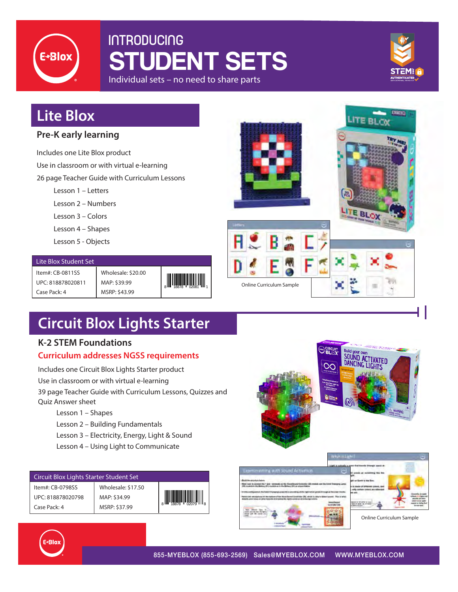

## **INTRODUCING** STUDENT SETS Individual sets – no need to share parts



## **Lite Blox**

### **Pre-K early learning**

Includes one Lite Blox product

Use in classroom or with virtual e-learning

26 page Teacher Guide with Curriculum Lessons

Lesson 1 – Letters

Lesson 2 – Numbers

Lesson 3 – Colors

Lesson 4 – Shapes

Lesson 5 - Objects

#### Lite Blox Student Set

Item#: CB-0811SS UPC: 818878020811 Case Pack: 4

Wholesale: \$20.00 MAP: \$39.99 MSRP: \$43.99



# **Circuit Blox Lights Starter**

### **K-2 STEM Foundations**

### **Curriculum addresses NGSS requirements**

Includes one Circuit Blox Lights Starter product

Use in classroom or with virtual e-learning

39 page Teacher Guide with Curriculum Lessons, Quizzes and Quiz Answer sheet

- Lesson 1 Shapes
- Lesson 2 Building Fundamentals
- Lesson 3 Electricity, Energy, Light & Sound
- Lesson 4 Using Light to Communicate

| Circuit Blox Lights Starter Student Set |                    |  |  |  |  |
|-----------------------------------------|--------------------|--|--|--|--|
| Item#: CB-0798SS                        | Wholesale: \$17.50 |  |  |  |  |
| UPC: 818878020798                       | MAP: \$34.99       |  |  |  |  |
| Case Pack: 4                            | MSRP: \$37.99      |  |  |  |  |







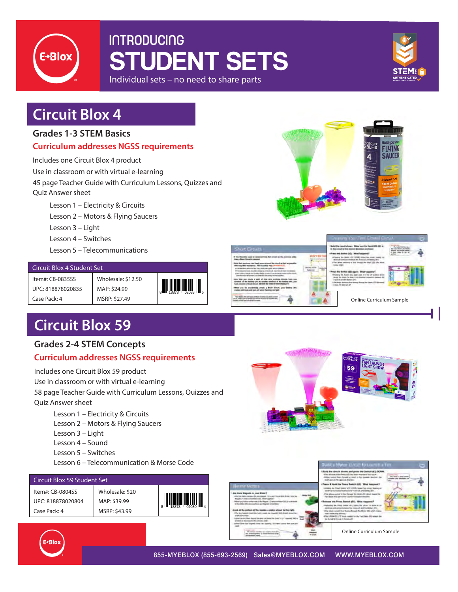

## **INTRODUCING** STUDENT SETS Individual sets – no need to share parts



## **Circuit Blox 4**

#### **Grades 1-3 STEM Basics**

#### **Curriculum addresses NGSS requirements**

Includes one Circuit Blox 4 product

Use in classroom or with virtual e-learning

45 page Teacher Guide with Curriculum Lessons, Quizzes and Quiz Answer sheet

Lesson 1 – Electricity & Circuits

Lesson 2 – Motors & Flying Saucers

Lesson 3 – Light

Lesson 4 – Switches

Lesson 5 – Telecommunications

| Circuit Blox 4 Student Set |                    |  |  |  |
|----------------------------|--------------------|--|--|--|
| Item#: CB-0835SS           | Wholesale: \$12.50 |  |  |  |
| UPC: 818878020835          | MAP: \$24.99       |  |  |  |
| Case Pack: 4               | MSRP: \$27.49      |  |  |  |

# **Circuit Blox 59**

### **Grades 2-4 STEM Concepts**

### **Curriculum addresses NGSS requirements**

Includes one Circuit Blox 59 product

Use in classroom or with virtual e-learning

58 page Teacher Guide with Curriculum Lessons, Quizzes and

Quiz Answer sheet

- Lesson 1 Electricity & Circuits
- Lesson 2 Motors & Flying Saucers
- Lesson 3 Light
- Lesson 4 Sound
- Lesson 5 Switches
- Lesson 6 Telecommunication & Morse Code

#### Circuit Blox 59 Student Set

| Item#: CB-0804SS  | Whole |
|-------------------|-------|
| UPC: 818878020804 | MAP:  |
| Case Pack: 4      | MSRP: |

| Wholesale: \$20<br>MAP: \$39.99<br>MSRP: \$43.99 | $\begin{array}{c} \begin{array}{c} \begin{array}{c} \end{array}\\ \begin{array}{c} \end{array}\\ \begin{array}{c} \end{array}\\ \begin{array}{c} \end{array}\\ \begin{array}{c} \end{array}\\ \begin{array}{c} \end{array}\\ \begin{array}{c} \end{array}\\ \begin{array}{c} \end{array}\\ \begin{array}{c} \end{array}\\ \begin{array}{c} \end{array}\\ \begin{array}{c} \end{array}\\ \begin{array}{c} \end{array}\\ \begin{array}{c} \end{array}\\ \begin{array}{c} \end{array}\\ \begin{array}{c} \end{array}\\ \begin{array}{c} \end{array}\\ \begin{array}{c} \end{array}\\ \begin$ |
|--------------------------------------------------|-------------------------------------------------------------------------------------------------------------------------------------------------------------------------------------------------------------------------------------------------------------------------------------------------------------------------------------------------------------------------------------------------------------------------------------------------------------------------------------------------------------------------------------------------------------------------------------------|
|                                                  |                                                                                                                                                                                                                                                                                                                                                                                                                                                                                                                                                                                           |





Online Curriculum Sample



855-MYEBLOX (855-693-2569) Sales@MYEBLOX.COM WWW.MYEBLOX.COM





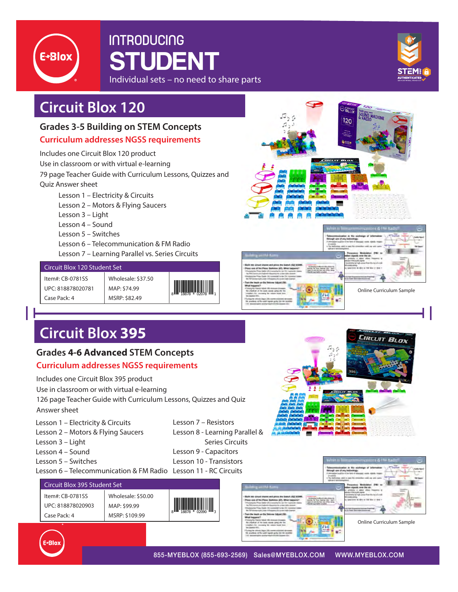

## **INTRODUCING** STUDENT Individual sets – no need to share parts



## **Circuit Blox 120**

### **Grades 3-5 Building on STEM Concepts**

#### **Curriculum addresses NGSS requirements**

Includes one Circuit Blox 120 product Use in classroom or with virtual e-learning 79 page Teacher Guide with Curriculum Lessons, Quizzes and Quiz Answer sheet

Lesson 1 – Electricity & Circuits Lesson 2 – Motors & Flying Saucers Lesson 3 – Light Lesson 4 – Sound Lesson 5 – Switches Lesson 6 – Telecommunication & FM Radio

Lesson 7 – Learning Parallel vs. Series Circuits

#### Circuit Blox 120 Student Set

Item#: CB-0781SS UPC: 818878020781 Case Pack: 4 Wholesale: \$37.50 MAP: \$74.99





# **Circuit Blox 395**

### **Grades 4-6 Advanced STEM Concepts**

### **Curriculum addresses NGSS requirements**

Includes one Circuit Blox 395 product

Use in classroom or with virtual e-learning

126 page Teacher Guide with Curriculum Lessons, Quizzes and Quiz Answer sheet

- Lesson 1 Electricity & Circuits
- Lesson 2 Motors & Flying Saucers
- Lesson 3 Light
- Lesson 4 Sound
- Lesson 5 Switches
- Lesson 6 Telecommunication & FM Radio Lesson 11 RC Circuits

#### Circuit Blox 395 Student Set

Item#: CB-0781SS UPC: 818878020903 Case Pack: 4

Wholesale: \$50.00 MAP: \$99.99 MSRP: \$109.99

8 18878 02090 3

Lesson 7 – Resistors

Lesson 9 - Capacitors Lesson 10 - Transistors



Online Curriculum Sample

**EIRCUIT BLOX** 



855-MYEBLOX (855-693-2569) Sales@MYEBLOX.COM WWW.MYEBLOX.COM